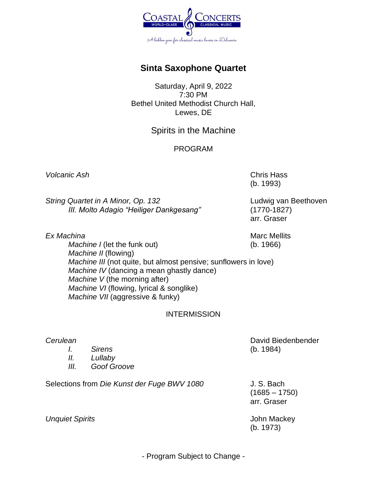

## **Sinta Saxophone Quartet**

Saturday, April 9, 2022 7:30 PM Bethel United Methodist Church Hall, Lewes, DE

## Spirits in the Machine

### PROGRAM

*Volcanic Ash* Chris Hass

*String Quartet in A Minor, Op. 132* Ludwig van Beethoven *III. Molto Adagio "Heiliger Dankgesang"* (1770-1827)

(b. 1993)

arr. Graser

**Ex Machina** Marc Mellits **Ex Machina** Marc Mellits *Machine I* (let the funk out) (b. 1966) *Machine II* (flowing) *Machine III* (not quite, but almost pensive; sunflowers in love) *Machine IV* (dancing a mean ghastly dance) *Machine V* (the morning after) *Machine VI* (flowing, lyrical & songlike) *Machine VII* (aggressive & funky)

### INTERMISSION

#### *Cerulean* David Biedenbender

- *I. Sirens* (b. 1984)
- *II. Lullaby*
- *III. Goof Groove*

Selections from *Die Kunst der Fuge BWV 1080* J. S. Bach

 $(1685 - 1750)$ arr. Graser

*Unquiet Spirits* **Compared 2015 John Mackey** 

(b. 1973)

- Program Subject to Change -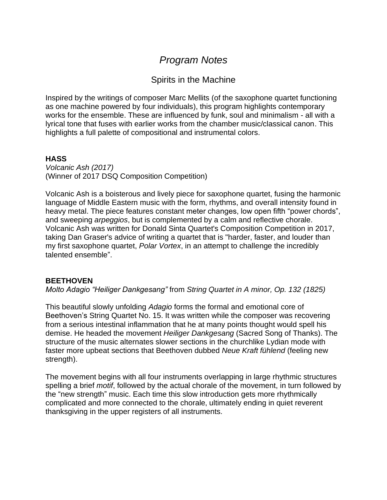# *Program Notes*

## Spirits in the Machine

Inspired by the writings of composer Marc Mellits (of the saxophone quartet functioning as one machine powered by four individuals), this program highlights contemporary works for the ensemble. These are influenced by funk, soul and minimalism - all with a lyrical tone that fuses with earlier works from the chamber music/classical canon. This highlights a full palette of compositional and instrumental colors.

### **HASS**

*Volcanic Ash (2017)* (Winner of 2017 DSQ Composition Competition)

Volcanic Ash is a boisterous and lively piece for saxophone quartet, fusing the harmonic language of Middle Eastern music with the form, rhythms, and overall intensity found in heavy metal. The piece features constant meter changes, low open fifth "power chords", and sweeping *arpeggios*, but is complemented by a calm and reflective chorale. Volcanic Ash was written for Donald Sinta Quartet's Composition Competition in 2017, taking Dan Graser's advice of writing a quartet that is "harder, faster, and louder than my first saxophone quartet, *Polar Vortex*, in an attempt to challenge the incredibly talented ensemble".

### **BEETHOVEN**

*Molto Adagio "Heiliger Dankgesang"* from *String Quartet in A minor, Op. 132 (1825)*

This beautiful slowly unfolding *Adagio* forms the formal and emotional core of Beethoven's String Quartet No. 15. It was written while the composer was recovering from a serious intestinal inflammation that he at many points thought would spell his demise. He headed the movement *Heiliger Dankgesang* (Sacred Song of Thanks). The structure of the music alternates slower sections in the churchlike Lydian mode with faster more upbeat sections that Beethoven dubbed *Neue Kraft fühlend* (feeling new strength).

The movement begins with all four instruments overlapping in large rhythmic structures spelling a brief *motif*, followed by the actual chorale of the movement, in turn followed by the "new strength" music. Each time this slow introduction gets more rhythmically complicated and more connected to the chorale, ultimately ending in quiet reverent thanksgiving in the upper registers of all instruments.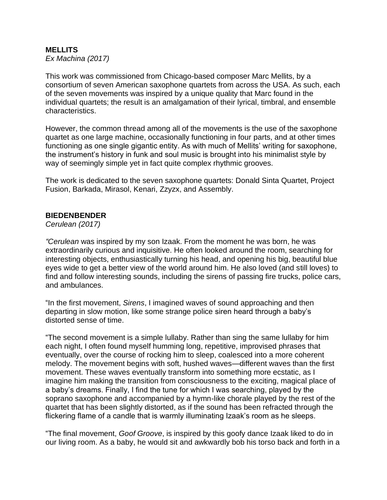## **MELLITS**

*Ex Machina (2017)* 

This work was commissioned from Chicago-based composer Marc Mellits, by a consortium of seven American saxophone quartets from across the USA. As such, each of the seven movements was inspired by a unique quality that Marc found in the individual quartets; the result is an amalgamation of their lyrical, timbral, and ensemble characteristics.

However, the common thread among all of the movements is the use of the saxophone quartet as one large machine, occasionally functioning in four parts, and at other times functioning as one single gigantic entity. As with much of Mellits' writing for saxophone, the instrument's history in funk and soul music is brought into his minimalist style by way of seemingly simple yet in fact quite complex rhythmic grooves.

The work is dedicated to the seven saxophone quartets: Donald Sinta Quartet, Project Fusion, Barkada, Mirasol, Kenari, Zzyzx, and Assembly.

### **BIEDENBENDER**

*Cerulean (2017)*

*"Cerulean* was inspired by my son Izaak. From the moment he was born, he was extraordinarily curious and inquisitive. He often looked around the room, searching for interesting objects, enthusiastically turning his head, and opening his big, beautiful blue eyes wide to get a better view of the world around him. He also loved (and still loves) to find and follow interesting sounds, including the sirens of passing fire trucks, police cars, and ambulances.

"In the first movement, *Sirens*, I imagined waves of sound approaching and then departing in slow motion, like some strange police siren heard through a baby's distorted sense of time.

"The second movement is a simple lullaby. Rather than sing the same lullaby for him each night, I often found myself humming long, repetitive, improvised phrases that eventually, over the course of rocking him to sleep, coalesced into a more coherent melody. The movement begins with soft, hushed waves—different waves than the first movement. These waves eventually transform into something more ecstatic, as I imagine him making the transition from consciousness to the exciting, magical place of a baby's dreams. Finally, I find the tune for which I was searching, played by the soprano saxophone and accompanied by a hymn-like chorale played by the rest of the quartet that has been slightly distorted, as if the sound has been refracted through the flickering flame of a candle that is warmly illuminating Izaak's room as he sleeps.

"The final movement, *Goof Groove*, is inspired by this goofy dance Izaak liked to do in our living room. As a baby, he would sit and awkwardly bob his torso back and forth in a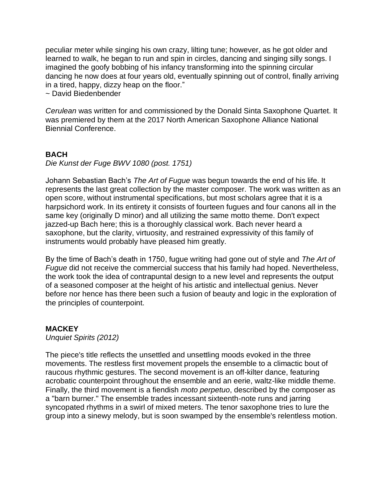peculiar meter while singing his own crazy, lilting tune; however, as he got older and learned to walk, he began to run and spin in circles, dancing and singing silly songs. I imagined the goofy bobbing of his infancy transforming into the spinning circular dancing he now does at four years old, eventually spinning out of control, finally arriving in a tired, happy, dizzy heap on the floor."

~ David Biedenbender

*Cerulean* was written for and commissioned by the Donald Sinta Saxophone Quartet. It was premiered by them at the 2017 North American Saxophone Alliance National Biennial Conference.

### **BACH**

*Die Kunst der Fuge BWV 1080 (post. 1751)*

Johann Sebastian Bach's *The Art of Fugue* was begun towards the end of his life. It represents the last great collection by the master composer. The work was written as an open score, without instrumental specifications, but most scholars agree that it is a harpsichord work. In its entirety it consists of fourteen fugues and four canons all in the same key (originally D minor) and all utilizing the same motto theme. Don't expect jazzed-up Bach here; this is a thoroughly classical work. Bach never heard a saxophone, but the clarity, virtuosity, and restrained expressivity of this family of instruments would probably have pleased him greatly.

By the time of Bach's death in 1750, fugue writing had gone out of style and *The Art of Fugue* did not receive the commercial success that his family had hoped. Nevertheless, the work took the idea of contrapuntal design to a new level and represents the output of a seasoned composer at the height of his artistic and intellectual genius. Never before nor hence has there been such a fusion of beauty and logic in the exploration of the principles of counterpoint.

### **MACKEY**

*Unquiet Spirits (2012)*

The piece's title reflects the unsettled and unsettling moods evoked in the three movements. The restless first movement propels the ensemble to a climactic bout of raucous rhythmic gestures. The second movement is an off-kilter dance, featuring acrobatic counterpoint throughout the ensemble and an eerie, waltz-like middle theme. Finally, the third movement is a fiendish *moto perpetuo*, described by the composer as a "barn burner." The ensemble trades incessant sixteenth-note runs and jarring syncopated rhythms in a swirl of mixed meters. The tenor saxophone tries to lure the group into a sinewy melody, but is soon swamped by the ensemble's relentless motion.